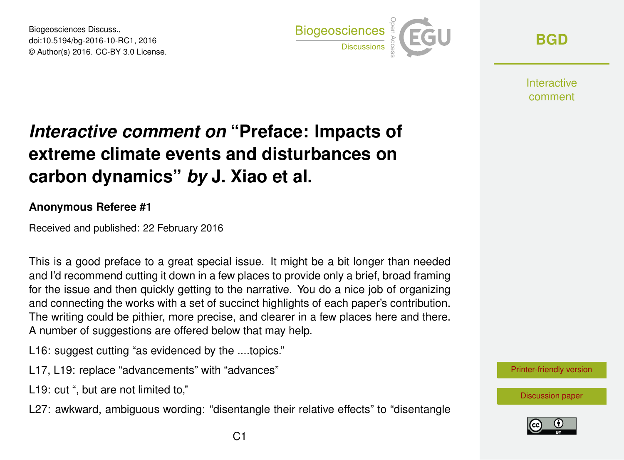Biogeosciences Discuss., doi:10.5194/bg-2016-10-RC1, 2016 © Author(s) 2016. CC-BY 3.0 License.



**[BGD](http://www.biogeosciences-discuss.net/)**

**Interactive** comment

## *Interactive comment on* **"Preface: Impacts of extreme climate events and disturbances on carbon dynamics"** *by* **J. Xiao et al.**

## **Anonymous Referee #1**

Received and published: 22 February 2016

This is a good preface to a great special issue. It might be a bit longer than needed and I'd recommend cutting it down in a few places to provide only a brief, broad framing for the issue and then quickly getting to the narrative. You do a nice job of organizing and connecting the works with a set of succinct highlights of each paper's contribution. The writing could be pithier, more precise, and clearer in a few places here and there. A number of suggestions are offered below that may help.

- L16: suggest cutting "as evidenced by the ....topics."
- L17, L19: replace "advancements" with "advances"
- L19: cut ", but are not limited to,"
- L27: awkward, ambiguous wording: "disentangle their relative effects" to "disentangle



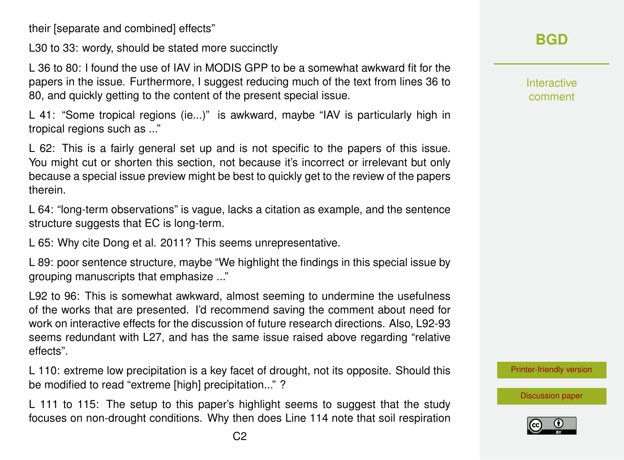their [separate and combined] effects"

L30 to 33: wordy, should be stated more succinctly

L 36 to 80: I found the use of IAV in MODIS GPP to be a somewhat awkward fit for the papers in the issue. Furthermore, I suggest reducing much of the text from lines 36 to 80, and quickly getting to the content of the present special issue.

L 41: "Some tropical regions (ie...)" is awkward, maybe "IAV is particularly high in tropical regions such as ..."

L 62: This is a fairly general set up and is not specific to the papers of this issue. You might cut or shorten this section, not because it's incorrect or irrelevant but only because a special issue preview might be best to quickly get to the review of the papers therein.

L 64: "long-term observations" is vague, lacks a citation as example, and the sentence structure suggests that EC is long-term.

L 65: Why cite Dong et al. 2011? This seems unrepresentative.

L 89: poor sentence structure, maybe "We highlight the findings in this special issue by grouping manuscripts that emphasize ..."

L92 to 96: This is somewhat awkward, almost seeming to undermine the usefulness of the works that are presented. I'd recommend saving the comment about need for work on interactive effects for the discussion of future research directions. Also, L92-93 seems redundant with L27, and has the same issue raised above regarding "relative effects".

L 110: extreme low precipitation is a key facet of drought, not its opposite. Should this be modified to read "extreme [high] precipitation..." ?

L 111 to 115: The setup to this paper's highlight seems to suggest that the study focuses on non-drought conditions. Why then does Line 114 note that soil respiration Interactive comment

[Printer-friendly version](http://www.biogeosciences-discuss.net/bg-2016-10/bg-2016-10-RC1-print.pdf)

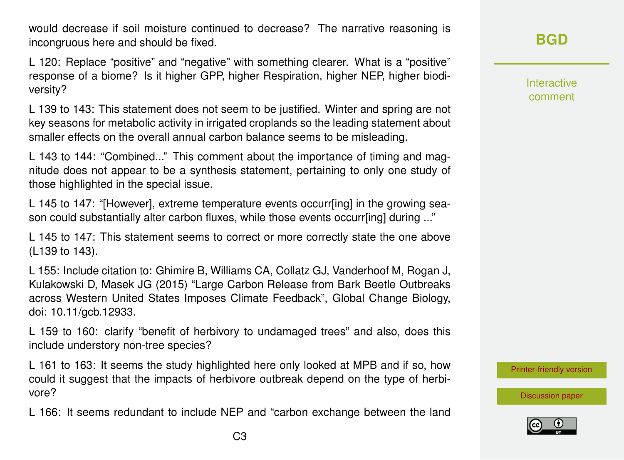would decrease if soil moisture continued to decrease? The narrative reasoning is incongruous here and should be fixed.

L 120: Replace "positive" and "negative" with something clearer. What is a "positive" response of a biome? Is it higher GPP, higher Respiration, higher NEP, higher biodiversity?

L 139 to 143: This statement does not seem to be justified. Winter and spring are not key seasons for metabolic activity in irrigated croplands so the leading statement about smaller effects on the overall annual carbon balance seems to be misleading.

L 143 to 144: "Combined..." This comment about the importance of timing and magnitude does not appear to be a synthesis statement, pertaining to only one study of those highlighted in the special issue.

L 145 to 147: "[However], extreme temperature events occurr[ing] in the growing season could substantially alter carbon fluxes, while those events occurr[ing] during ..."

L 145 to 147: This statement seems to correct or more correctly state the one above (L139 to 143).

L 155: Include citation to: Ghimire B, Williams CA, Collatz GJ, Vanderhoof M, Rogan J, Kulakowski D, Masek JG (2015) "Large Carbon Release from Bark Beetle Outbreaks across Western United States Imposes Climate Feedback", Global Change Biology, doi: 10.11/gcb.12933.

L 159 to 160: clarify "benefit of herbivory to undamaged trees" and also, does this include understory non-tree species?

L 161 to 163: It seems the study highlighted here only looked at MPB and if so, how could it suggest that the impacts of herbivore outbreak depend on the type of herbivore?

L 166: It seems redundant to include NEP and "carbon exchange between the land

## **[BGD](http://www.biogeosciences-discuss.net/)**

Interactive comment

[Printer-friendly version](http://www.biogeosciences-discuss.net/bg-2016-10/bg-2016-10-RC1-print.pdf)

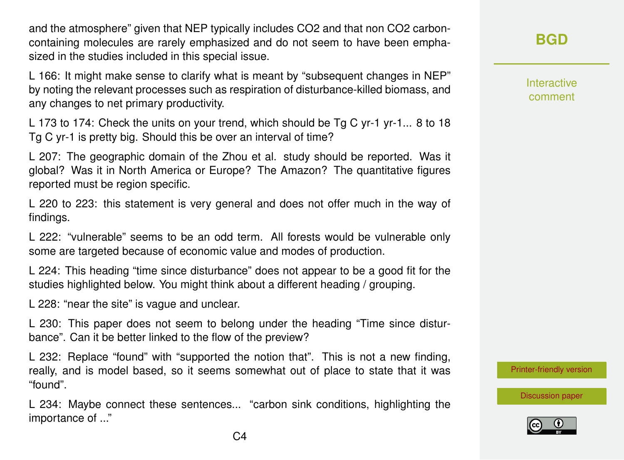and the atmosphere" given that NEP typically includes CO2 and that non CO2 carboncontaining molecules are rarely emphasized and do not seem to have been emphasized in the studies included in this special issue.

L 166: It might make sense to clarify what is meant by "subsequent changes in NEP" by noting the relevant processes such as respiration of disturbance-killed biomass, and any changes to net primary productivity.

L 173 to 174: Check the units on your trend, which should be Tg C yr-1 yr-1... 8 to 18 Tg C yr-1 is pretty big. Should this be over an interval of time?

L 207: The geographic domain of the Zhou et al. study should be reported. Was it global? Was it in North America or Europe? The Amazon? The quantitative figures reported must be region specific.

L 220 to 223: this statement is very general and does not offer much in the way of findings.

L 222: "vulnerable" seems to be an odd term. All forests would be vulnerable only some are targeted because of economic value and modes of production.

L 224: This heading "time since disturbance" does not appear to be a good fit for the studies highlighted below. You might think about a different heading / grouping.

L 228: "near the site" is vague and unclear.

L 230: This paper does not seem to belong under the heading "Time since disturbance". Can it be better linked to the flow of the preview?

L 232: Replace "found" with "supported the notion that". This is not a new finding, really, and is model based, so it seems somewhat out of place to state that it was "found".

L 234: Maybe connect these sentences... "carbon sink conditions, highlighting the importance of ..."

**[BGD](http://www.biogeosciences-discuss.net/)**

Interactive comment

[Printer-friendly version](http://www.biogeosciences-discuss.net/bg-2016-10/bg-2016-10-RC1-print.pdf)